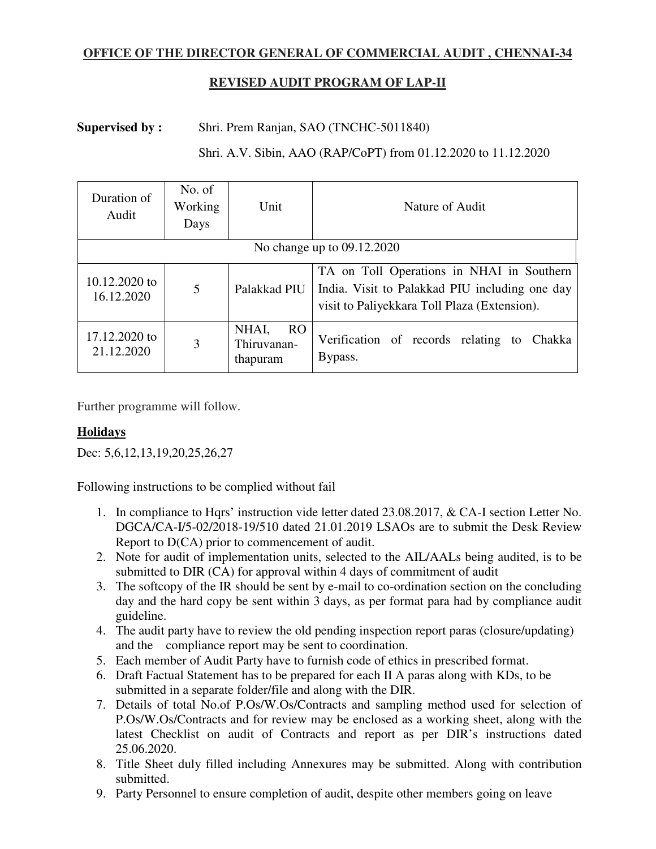## **OFFICE OF THE DIRECTOR GENERAL OF COMMERCIAL AUDIT , CHENNAI-34**

# **REVISED AUDIT PROGRAM OF LAP-II**

## **Supervised by :** Shri. Prem Ranjan, SAO (TNCHC-5011840)

#### Shri. A.V. Sibin, AAO (RAP/CoPT) from 01.12.2020 to 11.12.2020

| Duration of<br>Audit        | No. of<br>Working<br>Days | Unit                                                | Nature of Audit                                                                                                                             |
|-----------------------------|---------------------------|-----------------------------------------------------|---------------------------------------------------------------------------------------------------------------------------------------------|
| No change up to 09.12.2020  |                           |                                                     |                                                                                                                                             |
| 10.12.2020 to<br>16.12.2020 | $\overline{5}$            | Palakkad PIU                                        | TA on Toll Operations in NHAI in Southern<br>India. Visit to Palakkad PIU including one day<br>visit to Paliyekkara Toll Plaza (Extension). |
| 17.12.2020 to<br>21.12.2020 | 3                         | NHAI,<br>RO <sub>.</sub><br>Thiruvanan-<br>thapuram | Verification of records relating to Chakka<br>Bypass.                                                                                       |

Further programme will follow.

## **Holidays**

Dec: 5,6,12,13,19,20,25,26,27

Following instructions to be complied without fail

- 1. In compliance to Hqrs' instruction vide letter dated 23.08.2017, & CA-I section Letter No. DGCA/CA-I/5-02/2018-19/510 dated 21.01.2019 LSAOs are to submit the Desk Review Report to D(CA) prior to commencement of audit.
- 2. Note for audit of implementation units, selected to the AIL/AALs being audited, is to be submitted to DIR (CA) for approval within 4 days of commitment of audit
- 3. The softcopy of the IR should be sent by e-mail to co-ordination section on the concluding day and the hard copy be sent within 3 days, as per format para had by compliance audit guideline.
- 4. The audit party have to review the old pending inspection report paras (closure/updating) and the compliance report may be sent to coordination.
- 5. Each member of Audit Party have to furnish code of ethics in prescribed format.
- 6. Draft Factual Statement has to be prepared for each II A paras along with KDs, to be submitted in a separate folder/file and along with the DIR.
- 7. Details of total No.of P.Os/W.Os/Contracts and sampling method used for selection of P.Os/W.Os/Contracts and for review may be enclosed as a working sheet, along with the latest Checklist on audit of Contracts and report as per DIR's instructions dated 25.06.2020.
- 8. Title Sheet duly filled including Annexures may be submitted. Along with contribution submitted.
- 9. Party Personnel to ensure completion of audit, despite other members going on leave